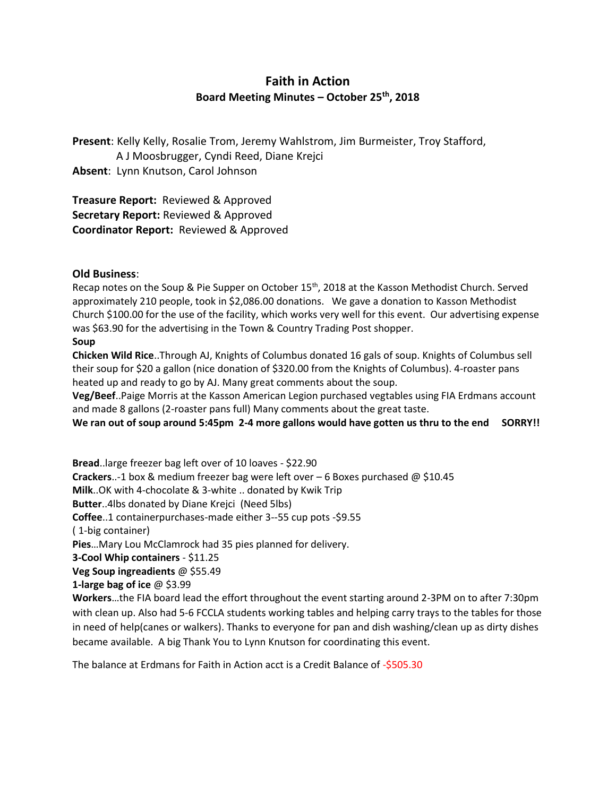## **Faith in Action Board Meeting Minutes – October 25th, 2018**

**Present**: Kelly Kelly, Rosalie Trom, Jeremy Wahlstrom, Jim Burmeister, Troy Stafford, A J Moosbrugger, Cyndi Reed, Diane Krejci **Absent**: Lynn Knutson, Carol Johnson

**Treasure Report:** Reviewed & Approved **Secretary Report:** Reviewed & Approved **Coordinator Report:** Reviewed & Approved

## **Old Business**:

Recap notes on the Soup & Pie Supper on October 15<sup>th</sup>, 2018 at the Kasson Methodist Church. Served approximately 210 people, took in \$2,086.00 donations. We gave a donation to Kasson Methodist Church \$100.00 for the use of the facility, which works very well for this event. Our advertising expense was \$63.90 for the advertising in the Town & Country Trading Post shopper.

## **Soup**

**Chicken Wild Rice**..Through AJ, Knights of Columbus donated 16 gals of soup. Knights of Columbus sell their soup for \$20 a gallon (nice donation of \$320.00 from the Knights of Columbus). 4-roaster pans heated up and ready to go by AJ. Many great comments about the soup.

**Veg/Beef**..Paige Morris at the Kasson American Legion purchased vegtables using FIA Erdmans account and made 8 gallons (2-roaster pans full) Many comments about the great taste.

**We ran out of soup around 5:45pm 2-4 more gallons would have gotten us thru to the end SORRY!!**

**Bread**..large freezer bag left over of 10 loaves - \$22.90 **Crackers**..-1 box & medium freezer bag were left over – 6 Boxes purchased @ \$10.45 **Milk**..OK with 4-chocolate & 3-white .. donated by Kwik Trip **Butter**..4lbs donated by Diane Krejci (Need 5lbs) **Coffee**..1 containerpurchases-made either 3--55 cup pots -\$9.55 ( 1-big container) **Pies**…Mary Lou McClamrock had 35 pies planned for delivery. **3-Cool Whip containers** - \$11.25 **Veg Soup ingreadients** @ \$55.49 **1-large bag of ice** @ \$3.99 **Workers**…the FIA board lead the effort throughout the event starting around 2-3PM on to after 7:30pm with clean up. Also had 5-6 FCCLA students working tables and helping carry trays to the tables for those in need of help(canes or walkers). Thanks to everyone for pan and dish washing/clean up as dirty dishes

The balance at Erdmans for Faith in Action acct is a Credit Balance of -\$505.30

became available. A big Thank You to Lynn Knutson for coordinating this event.